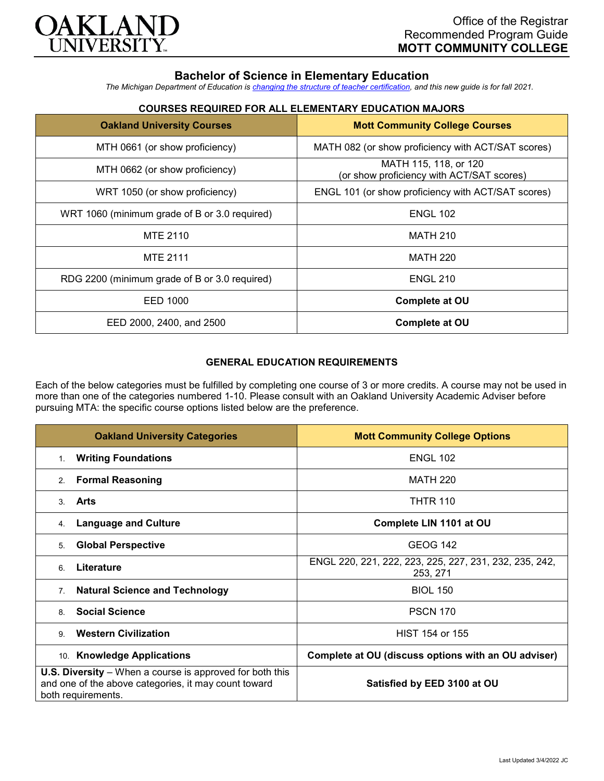

# **Bachelor of Science in Elementary Education**

*The Michigan Department of Education is [changing the structure of teacher certification,](https://docs.google.com/document/d/1W1uUK14Njx6WAB56T4jHbat65OZyg6TS04LdNWMXEcI/edit) and this new guide is for fall 2021.*

## **COURSES REQUIRED FOR ALL ELEMENTARY EDUCATION MAJORS**

| <b>Oakland University Courses</b>             | <b>Mott Community College Courses</b>                              |
|-----------------------------------------------|--------------------------------------------------------------------|
| MTH 0661 (or show proficiency)                | MATH 082 (or show proficiency with ACT/SAT scores)                 |
| MTH 0662 (or show proficiency)                | MATH 115, 118, or 120<br>(or show proficiency with ACT/SAT scores) |
| WRT 1050 (or show proficiency)                | ENGL 101 (or show proficiency with ACT/SAT scores)                 |
| WRT 1060 (minimum grade of B or 3.0 required) | <b>ENGL 102</b>                                                    |
| MTE 2110                                      | <b>MATH 210</b>                                                    |
| <b>MTE 2111</b>                               | <b>MATH 220</b>                                                    |
| RDG 2200 (minimum grade of B or 3.0 required) | <b>ENGL 210</b>                                                    |
| EED 1000                                      | <b>Complete at OU</b>                                              |
| EED 2000, 2400, and 2500                      | <b>Complete at OU</b>                                              |

### **GENERAL EDUCATION REQUIREMENTS**

Each of the below categories must be fulfilled by completing one course of 3 or more credits. A course may not be used in more than one of the categories numbered 1-10. Please consult with an Oakland University Academic Adviser before pursuing MTA: the specific course options listed below are the preference.

| <b>Oakland University Categories</b>                                                                                                          | <b>Mott Community College Options</b>                              |
|-----------------------------------------------------------------------------------------------------------------------------------------------|--------------------------------------------------------------------|
| <b>Writing Foundations</b><br>1.                                                                                                              | <b>ENGL 102</b>                                                    |
| <b>Formal Reasoning</b><br>2.                                                                                                                 | <b>MATH 220</b>                                                    |
| Arts<br>3.                                                                                                                                    | <b>THTR 110</b>                                                    |
| <b>Language and Culture</b><br>4.                                                                                                             | Complete LIN 1101 at OU                                            |
| <b>Global Perspective</b><br>5.                                                                                                               | <b>GEOG 142</b>                                                    |
| Literature<br>6                                                                                                                               | ENGL 220, 221, 222, 223, 225, 227, 231, 232, 235, 242,<br>253, 271 |
| <b>Natural Science and Technology</b><br>7 <sub>1</sub>                                                                                       | <b>BIOL 150</b>                                                    |
| <b>Social Science</b><br>8                                                                                                                    | <b>PSCN 170</b>                                                    |
| <b>Western Civilization</b><br>9                                                                                                              | HIST 154 or 155                                                    |
| 10. Knowledge Applications                                                                                                                    | Complete at OU (discuss options with an OU adviser)                |
| <b>U.S. Diversity</b> – When a course is approved for both this<br>and one of the above categories, it may count toward<br>both requirements. | Satisfied by EED 3100 at OU                                        |